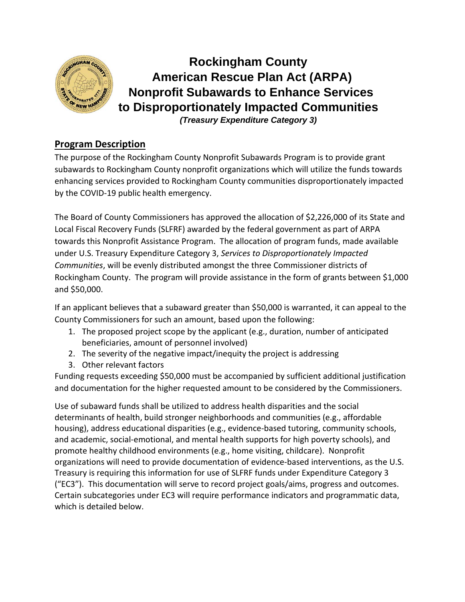

# **Rockingham County American Rescue Plan Act (ARPA) Nonprofit Subawards to Enhance Services to Disproportionately Impacted Communities** *(Treasury Expenditure Category 3)*

### **Program Description**

The purpose of the Rockingham County Nonprofit Subawards Program is to provide grant subawards to Rockingham County nonprofit organizations which will utilize the funds towards enhancing services provided to Rockingham County communities disproportionately impacted by the COVID-19 public health emergency.

The Board of County Commissioners has approved the allocation of \$2,226,000 of its State and Local Fiscal Recovery Funds (SLFRF) awarded by the federal government as part of ARPA towards this Nonprofit Assistance Program. The allocation of program funds, made available under U.S. Treasury Expenditure Category 3, *Services to Disproportionately Impacted Communities*, will be evenly distributed amongst the three Commissioner districts of Rockingham County. The program will provide assistance in the form of grants between \$1,000 and \$50,000.

If an applicant believes that a subaward greater than \$50,000 is warranted, it can appeal to the County Commissioners for such an amount, based upon the following:

- 1. The proposed project scope by the applicant (e.g., duration, number of anticipated beneficiaries, amount of personnel involved)
- 2. The severity of the negative impact/inequity the project is addressing
- 3. Other relevant factors

Funding requests exceeding \$50,000 must be accompanied by sufficient additional justification and documentation for the higher requested amount to be considered by the Commissioners.

Use of subaward funds shall be utilized to address health disparities and the social determinants of health, build stronger neighborhoods and communities (e.g., affordable housing), address educational disparities (e.g., evidence-based tutoring, community schools, and academic, social-emotional, and mental health supports for high poverty schools), and promote healthy childhood environments (e.g., home visiting, childcare). Nonprofit organizations will need to provide documentation of evidence-based interventions, as the U.S. Treasury is requiring this information for use of SLFRF funds under Expenditure Category 3 ("EC3"). This documentation will serve to record project goals/aims, progress and outcomes. Certain subcategories under EC3 will require performance indicators and programmatic data, which is detailed below.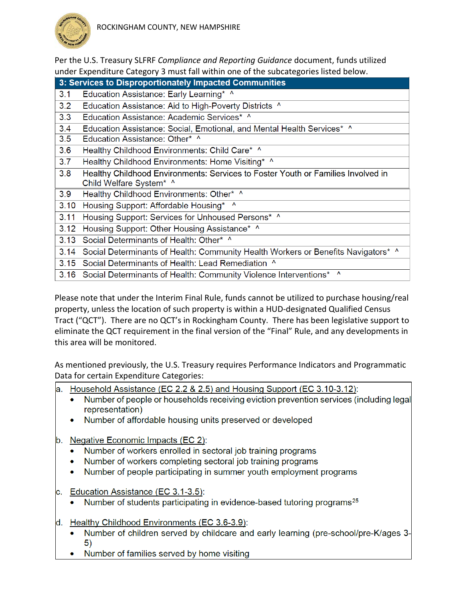

Per the U.S. Treasury SLFRF *Compliance and Reporting Guidance* document, funds utilized under Expenditure Category 3 must fall within one of the subcategories listed below.

| 3: Services to Disproportionately Impacted Communities |                                                                                        |  |  |  |
|--------------------------------------------------------|----------------------------------------------------------------------------------------|--|--|--|
| 3.1                                                    | Education Assistance: Early Learning* ^                                                |  |  |  |
| 3.2                                                    | Education Assistance: Aid to High-Poverty Districts ^                                  |  |  |  |
| 3.3                                                    | Education Assistance: Academic Services* ^                                             |  |  |  |
| 3.4                                                    | Education Assistance: Social, Emotional, and Mental Health Services* ^                 |  |  |  |
| 3.5                                                    | Education Assistance: Other* ^                                                         |  |  |  |
| 3.6                                                    | Healthy Childhood Environments: Child Care* ^                                          |  |  |  |
| 3.7                                                    | Healthy Childhood Environments: Home Visiting* ^                                       |  |  |  |
| 3.8                                                    | Healthy Childhood Environments: Services to Foster Youth or Families Involved in       |  |  |  |
|                                                        | Child Welfare System* ^                                                                |  |  |  |
| 3.9                                                    | Healthy Childhood Environments: Other* ^                                               |  |  |  |
| 3.10                                                   | Housing Support: Affordable Housing* ^                                                 |  |  |  |
| 3.11                                                   | Housing Support: Services for Unhoused Persons* ^                                      |  |  |  |
| 3.12                                                   | Housing Support: Other Housing Assistance* ^                                           |  |  |  |
| 3.13                                                   | Social Determinants of Health: Other* ^                                                |  |  |  |
|                                                        | 3.14 Social Determinants of Health: Community Health Workers or Benefits Navigators* ^ |  |  |  |
|                                                        | 3.15 Social Determinants of Health: Lead Remediation ^                                 |  |  |  |
|                                                        | 3.16 Social Determinants of Health: Community Violence Interventions* ^                |  |  |  |

Please note that under the Interim Final Rule, funds cannot be utilized to purchase housing/real property, unless the location of such property is within a HUD-designated Qualified Census Tract ("QCT"). There are no QCT's in Rockingham County. There has been legislative support to eliminate the QCT requirement in the final version of the "Final" Rule, and any developments in this area will be monitored.

As mentioned previously, the U.S. Treasury requires Performance Indicators and Programmatic Data for certain Expenditure Categories:

a. Household Assistance (EC 2.2 & 2.5) and Housing Support (EC 3.10-3.12):

- Number of people or households receiving eviction prevention services (including legal  $\bullet$ representation)
- Number of affordable housing units preserved or developed  $\bullet$
- b. Negative Economic Impacts (EC 2):
	- Number of workers enrolled in sectoral job training programs
	- Number of workers completing sectoral job training programs
	- Number of people participating in summer youth employment programs
- c. Education Assistance (EC 3.1-3.5):
	- Number of students participating in evidence-based tutoring programs<sup>25</sup>  $\bullet$
- d. Healthy Childhood Environments (EC 3.6-3.9):
	- Number of children served by childcare and early learning (pre-school/pre-K/ages 3- $\bullet$ 5)
	- Number of families served by home visiting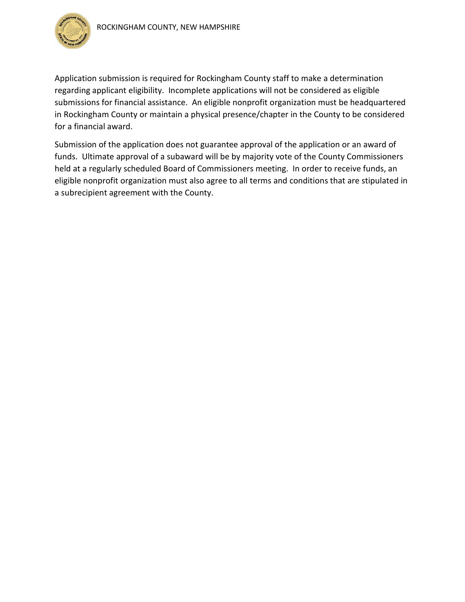

Application submission is required for Rockingham County staff to make a determination regarding applicant eligibility. Incomplete applications will not be considered as eligible submissions for financial assistance. An eligible nonprofit organization must be headquartered in Rockingham County or maintain a physical presence/chapter in the County to be considered for a financial award.

Submission of the application does not guarantee approval of the application or an award of funds. Ultimate approval of a subaward will be by majority vote of the County Commissioners held at a regularly scheduled Board of Commissioners meeting. In order to receive funds, an eligible nonprofit organization must also agree to all terms and conditions that are stipulated in a subrecipient agreement with the County.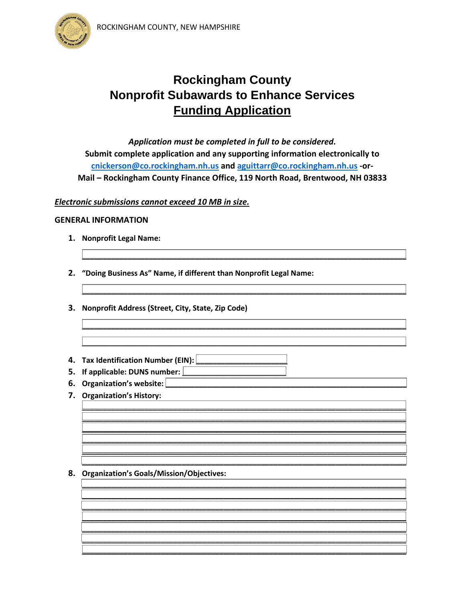

## **Rockingham County Nonprofit Subawards to Enhance Services Funding Application**

Application must be completed in full to be considered. Submit complete application and any supporting information electronically to cnickerson@co.rockingham.nh.us and aguittarr@co.rockingham.nh.us -or-Mail - Rockingham County Finance Office, 119 North Road, Brentwood, NH 03833

#### Electronic submissions cannot exceed 10 MB in size.

#### **GENERAL INFORMATION**

- 1. Nonprofit Legal Name:
- 2. "Doing Business As" Name, if different than Nonprofit Legal Name:
- 3. Nonprofit Address (Street, City, State, Zip Code)
- 4. Tax Identification Number (EIN):  $\lfloor$
- 5. If applicable: DUNS number:  $\lfloor$
- 6. Organization's website:
- 7. Organization's History:

#### 8. Organization's Goals/Mission/Objectives: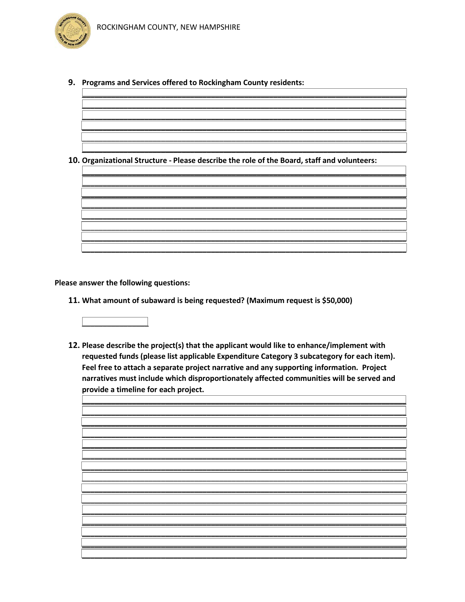9. Programs and Services offered to Rockingham County residents:

10. Organizational Structure - Please describe the role of the Board, staff and volunteers:



Please answer the following questions:

11. What amount of subaward is being requested? (Maximum request is \$50,000)



12. Please describe the project(s) that the applicant would like to enhance/implement with requested funds (please list applicable Expenditure Category 3 subcategory for each item). Feel free to attach a separate project narrative and any supporting information. Project narratives must include which disproportionately affected communities will be served and provide a timeline for each project.

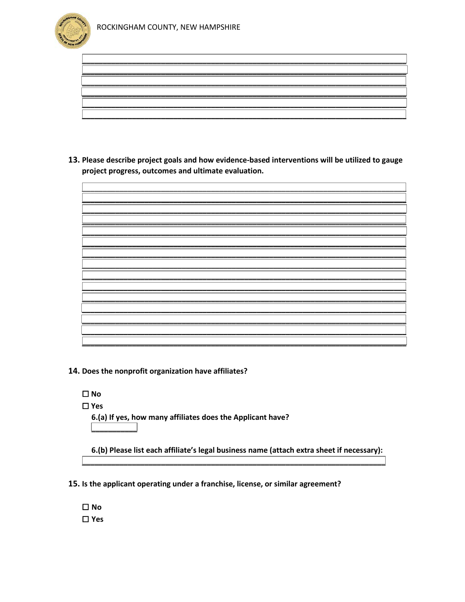

13. Please describe project goals and how evidence-based interventions will be utilized to gauge project progress, outcomes and ultimate evaluation.

14. Does the nonprofit organization have affiliates?

 $\Box$ No  $\Box$ Yes 6.(a) If yes, how many affiliates does the Applicant have?

6.(b) Please list each affiliate's legal business name (attach extra sheet if necessary):

15. Is the applicant operating under a franchise, license, or similar agreement?

 $\Box$ No  $\Box$ Yes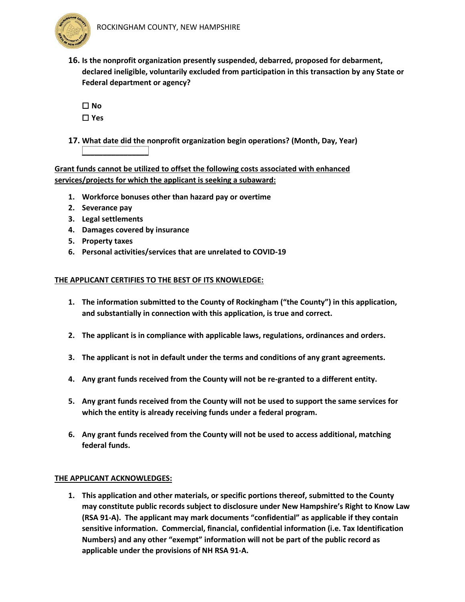

**16. Is the nonprofit organization presently suspended, debarred, proposed for debarment, declared ineligible, voluntarily excluded from participation in this transaction by any State or Federal department or agency?**

| $\Box$ | N                |
|--------|------------------|
| I      | n                |
| I<br>П | L<br>Y<br>ς<br>г |

**17. What date did the nonprofit organization begin operations? (Month, Day, Year) \_\_\_\_\_\_\_\_\_\_\_\_\_\_\_\_**

**Grant funds cannot be utilized to offset the following costs associated with enhanced services/projects for which the applicant is seeking a subaward:**

- **1. Workforce bonuses other than hazard pay or overtime**
- **2. Severance pay**
- **3. Legal settlements**
- **4. Damages covered by insurance**
- **5. Property taxes**
- **6. Personal activities/services that are unrelated to COVID-19**

#### **THE APPLICANT CERTIFIES TO THE BEST OF ITS KNOWLEDGE:**

- **1. The information submitted to the County of Rockingham ("the County") in this application, and substantially in connection with this application, is true and correct.**
- **2. The applicant is in compliance with applicable laws, regulations, ordinances and orders.**
- **3. The applicant is not in default under the terms and conditions of any grant agreements.**
- **4. Any grant funds received from the County will not be re-granted to a different entity.**
- **5. Any grant funds received from the County will not be used to support the same services for which the entity is already receiving funds under a federal program.**
- **6. Any grant funds received from the County will not be used to access additional, matching federal funds.**

#### **THE APPLICANT ACKNOWLEDGES:**

**1. This application and other materials, or specific portions thereof, submitted to the County may constitute public records subject to disclosure under New Hampshire's Right to Know Law (RSA 91-A). The applicant may mark documents "confidential" as applicable if they contain sensitive information. Commercial, financial, confidential information (i.e. Tax Identification Numbers) and any other "exempt" information will not be part of the public record as applicable under the provisions of NH RSA 91-A.**